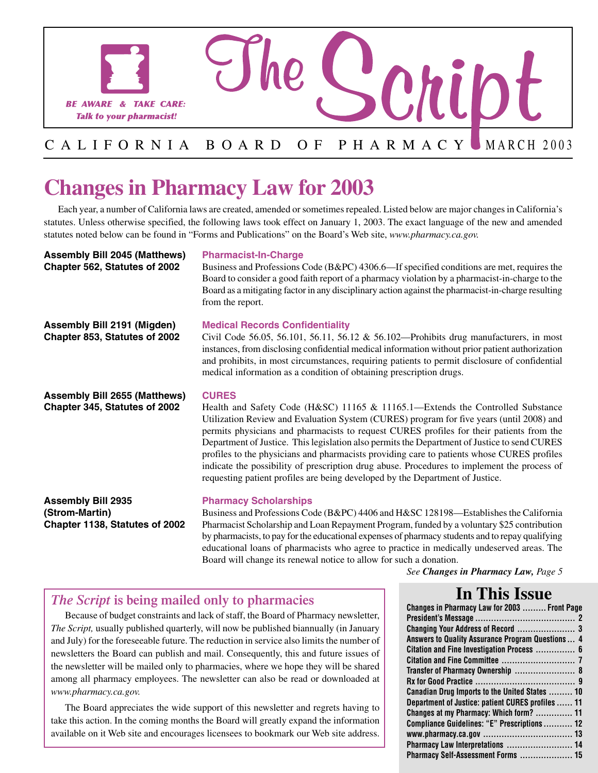

# **Changes in Pharmacy Law for 2003**

Each year, a number of California laws are created, amended or sometimes repealed. Listed below are major changes in California's statutes. Unless otherwise specified, the following laws took effect on January 1, 2003. The exact language of the new and amended statutes noted below can be found in "Forms and Publications" on the Board's Web site, *[www.pharmacy.ca.gov.](www.pharmacy.ca.gov)* 

**Assembly Bill 2045 (Matthews) Chapter 562, Statutes of 2002** 

#### **Pharmacist-In-Charge**

Business and Professions Code (B&PC) 4306.6—If specified conditions are met, requires the Board to consider a good faith report of a pharmacy violation by a pharmacist-in-charge to the Board as a mitigating factor in any disciplinary action against the pharmacist-in-charge resulting from the report.

**Assembly Bill 2191 (Migden) Chapter 853, Statutes of 2002**  **Medical Records Confidentiality** 

Civil Code 56.05, 56.101, 56.11, 56.12 & 56.102—Prohibits drug manufacturers, in most instances, from disclosing confidential medical information without prior patient authorization and prohibits, in most circumstances, requiring patients to permit disclosure of confidential medical information as a condition of obtaining prescription drugs.

**Assembly Bill 2655 (Matthews) Chapter 345, Statutes of 2002** 

#### **CURES**

Health and Safety Code (H&SC) 11165 & 11165.1—Extends the Controlled Substance Utilization Review and Evaluation System (CURES) program for five years (until 2008) and permits physicians and pharmacists to request CURES profiles for their patients from the Department of Justice. This legislation also permits the Department of Justice to send CURES profiles to the physicians and pharmacists providing care to patients whose CURES profiles indicate the possibility of prescription drug abuse. Procedures to implement the process of requesting patient profiles are being developed by the Department of Justice.

**Assembly Bill 2935 (Strom-Martin) Chapter 1138, Statutes of 2002** 

#### **Pharmacy Scholarships**

Business and Professions Code (B&PC) 4406 and H&SC 128198—Establishes the California Pharmacist Scholarship and Loan Repayment Program, funded by a voluntary \$25 contribution by pharmacists, to pay for the educational expenses of pharmacy students and to repay qualifying educational loans of pharmacists who agree to practice in medically undeserved areas. The Board will change its renewal notice to allow for such a donation.

7

 $\overline{\phantom{a}}$ 

*See Changes in Pharmacy Law, Page 5* 

### *The Script* **is being mailed only to pharmacies**

Because of budget constraints and lack of staff, the Board of Pharmacy newsletter, *The Script,* usually published quarterly, will now be published biannually (in January and July) for the foreseeable future. The reduction in service also limits the number of newsletters the Board can publish and mail. Consequently, this and future issues of the newsletter will be mailed only to pharmacies, where we hope they will be shared among all pharmacy employees. The newsletter can also be read or downloaded at *[www.pharmacy.ca.gov.](www.pharmacy.ca.gov)* 

The Board appreciates the wide support of this newsletter and regrets having to take this action. In the coming months the Board will greatly expand the information available on it Web site and encourages licensees to bookmark our Web site address.

## **In This Issue**

| Changes in Pharmacy Law for 2003  Front Page      |
|---------------------------------------------------|
|                                                   |
| Changing Your Address of Record  3                |
| Answers to Quality Assurance Program Questions  4 |
| Citation and Fine Investigation Process  6        |
|                                                   |
| Transfer of Pharmacy Ownership  8                 |
|                                                   |
| Canadian Drug Imports to the United States  10    |
| Department of Justice: patient CURES profiles  11 |
| Changes at my Pharmacy: Which form?  11           |
| Compliance Guidelines: "E" Prescriptions  12      |
|                                                   |
| Pharmacy Law Interpretations  14                  |
| Pharmacy Self-Assessment Forms  15                |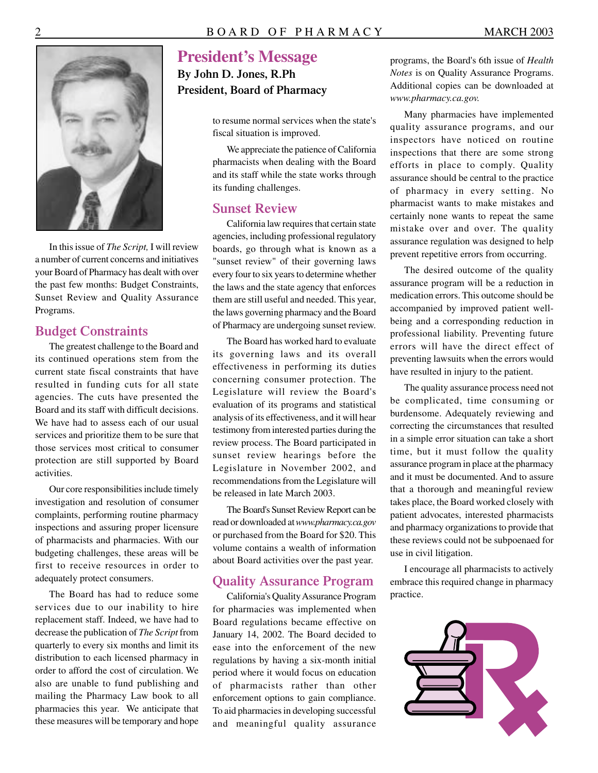

In this issue of *The Script,* I will review a number of current concerns and initiatives your Board of Pharmacy has dealt with over the past few months: Budget Constraints, Sunset Review and Quality Assurance Programs.

#### **Budget Constraints**

The greatest challenge to the Board and its continued operations stem from the current state fiscal constraints that have resulted in funding cuts for all state agencies. The cuts have presented the Board and its staff with difficult decisions. We have had to assess each of our usual services and prioritize them to be sure that those services most critical to consumer protection are still supported by Board activities.

Our core responsibilities include timely investigation and resolution of consumer complaints, performing routine pharmacy inspections and assuring proper licensure of pharmacists and pharmacies. With our budgeting challenges, these areas will be first to receive resources in order to adequately protect consumers.

The Board has had to reduce some services due to our inability to hire replacement staff. Indeed, we have had to decrease the publication of *The Script* from quarterly to every six months and limit its distribution to each licensed pharmacy in order to afford the cost of circulation. We also are unable to fund publishing and mailing the Pharmacy Law book to all pharmacies this year. We anticipate that these measures will be temporary and hope

## **President's Message**

**By John D. Jones, R.Ph President, Board of Pharmacy** 

> to resume normal services when the state's fiscal situation is improved.

> We appreciate the patience of California pharmacists when dealing with the Board and its staff while the state works through its funding challenges.

#### **Sunset Review**

California law requires that certain state agencies, including professional regulatory boards, go through what is known as a "sunset review" of their governing laws every four to six years to determine whether the laws and the state agency that enforces them are still useful and needed. This year, the laws governing pharmacy and the Board of Pharmacy are undergoing sunset review.

The Board has worked hard to evaluate its governing laws and its overall effectiveness in performing its duties concerning consumer protection. The Legislature will review the Board's evaluation of its programs and statistical analysis of its effectiveness, and it will hear testimony from interested parties during the review process. The Board participated in sunset review hearings before the Legislature in November 2002, and recommendations from the Legislature will be released in late March 2003.

The Board's Sunset Review Report can be read or downloaded at *<www.pharmacy.ca.gov>* or purchased from the Board for \$20. This volume contains a wealth of information about Board activities over the past year.

#### **Quality Assurance Program**

California's Quality Assurance Program for pharmacies was implemented when Board regulations became effective on January 14, 2002. The Board decided to ease into the enforcement of the new regulations by having a six-month initial period where it would focus on education of pharmacists rather than other enforcement options to gain compliance. **To aid pharmacies in developing successful**<br>and meaningful quality assurance

programs, the Board's 6th issue of *Health Notes* is on Quality Assurance Programs. Additional copies can be downloaded at *[www.pharmacy.ca.gov.](www.pharmacy.ca.gov)* 

Many pharmacies have implemented quality assurance programs, and our inspectors have noticed on routine inspections that there are some strong efforts in place to comply. Quality assurance should be central to the practice of pharmacy in every setting. No pharmacist wants to make mistakes and certainly none wants to repeat the same mistake over and over. The quality assurance regulation was designed to help prevent repetitive errors from occurring.

The desired outcome of the quality assurance program will be a reduction in medication errors. This outcome should be accompanied by improved patient wellbeing and a corresponding reduction in professional liability. Preventing future errors will have the direct effect of preventing lawsuits when the errors would have resulted in injury to the patient.

The quality assurance process need not be complicated, time consuming or burdensome. Adequately reviewing and correcting the circumstances that resulted in a simple error situation can take a short time, but it must follow the quality assurance program in place at the pharmacy and it must be documented. And to assure that a thorough and meaningful review takes place, the Board worked closely with patient advocates, interested pharmacists and pharmacy organizations to provide that these reviews could not be subpoenaed for use in civil litigation.

I encourage all pharmacists to actively embrace this required change in pharmacy practice.

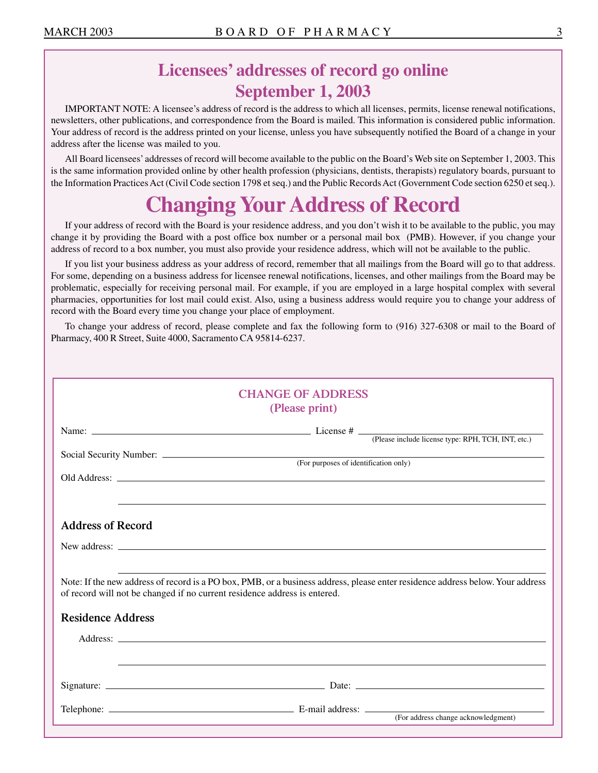## **Licensees' addresses of record go online September 1, 2003**

IMPORTANT NOTE: A licensee's address of record is the address to which all licenses, permits, license renewal notifications, newsletters, other publications, and correspondence from the Board is mailed. This information is considered public information. Your address of record is the address printed on your license, unless you have subsequently notified the Board of a change in your address after the license was mailed to you.

All Board licensees' addresses of record will become available to the public on the Board's Web site on September 1, 2003. This is the same information provided online by other health profession (physicians, dentists, therapists) regulatory boards, pursuant to the Information Practices Act (Civil Code section 1798 et seq.) and the Public Records Act (Government Code section 6250 et seq.).

# **Changing Your Address of Record**

If your address of record with the Board is your residence address, and you don't wish it to be available to the public, you may change it by providing the Board with a post office box number or a personal mail box (PMB). However, if you change your address of record to a box number, you must also provide your residence address, which will not be available to the public.

If you list your business address as your address of record, remember that all mailings from the Board will go to that address. For some, depending on a business address for licensee renewal notifications, licenses, and other mailings from the Board may be problematic, especially for receiving personal mail. For example, if you are employed in a large hospital complex with several pharmacies, opportunities for lost mail could exist. Also, using a business address would require you to change your address of record with the Board every time you change your place of employment.

To change your address of record, please complete and fax the following form to (916) 327-6308 or mail to the Board of Pharmacy, 400 R Street, Suite 4000, Sacramento CA 95814-6237.

| <b>CHANGE OF ADDRESS</b><br>(Please print)<br>Old Address: <u>Queen Contract Contract Contract Contract Contract Contract Contract Contract Contract Contract Contract Contract Contract Contract Contract Contract Contract Contract Contract Contract Contract Contract Cont</u><br><b>Address of Record</b><br>Note: If the new address of record is a PO box, PMB, or a business address, please enter residence address below. Your address<br>of record will not be changed if no current residence address is entered.<br><b>Residence Address</b> |
|-----------------------------------------------------------------------------------------------------------------------------------------------------------------------------------------------------------------------------------------------------------------------------------------------------------------------------------------------------------------------------------------------------------------------------------------------------------------------------------------------------------------------------------------------------------|
|                                                                                                                                                                                                                                                                                                                                                                                                                                                                                                                                                           |
|                                                                                                                                                                                                                                                                                                                                                                                                                                                                                                                                                           |
|                                                                                                                                                                                                                                                                                                                                                                                                                                                                                                                                                           |
|                                                                                                                                                                                                                                                                                                                                                                                                                                                                                                                                                           |
|                                                                                                                                                                                                                                                                                                                                                                                                                                                                                                                                                           |
|                                                                                                                                                                                                                                                                                                                                                                                                                                                                                                                                                           |
|                                                                                                                                                                                                                                                                                                                                                                                                                                                                                                                                                           |
|                                                                                                                                                                                                                                                                                                                                                                                                                                                                                                                                                           |
|                                                                                                                                                                                                                                                                                                                                                                                                                                                                                                                                                           |
|                                                                                                                                                                                                                                                                                                                                                                                                                                                                                                                                                           |
|                                                                                                                                                                                                                                                                                                                                                                                                                                                                                                                                                           |
|                                                                                                                                                                                                                                                                                                                                                                                                                                                                                                                                                           |
|                                                                                                                                                                                                                                                                                                                                                                                                                                                                                                                                                           |
|                                                                                                                                                                                                                                                                                                                                                                                                                                                                                                                                                           |
|                                                                                                                                                                                                                                                                                                                                                                                                                                                                                                                                                           |
|                                                                                                                                                                                                                                                                                                                                                                                                                                                                                                                                                           |
|                                                                                                                                                                                                                                                                                                                                                                                                                                                                                                                                                           |
|                                                                                                                                                                                                                                                                                                                                                                                                                                                                                                                                                           |
|                                                                                                                                                                                                                                                                                                                                                                                                                                                                                                                                                           |
| <u> 1999 - Andrea Santana, amerikana amerikana amerikana amerikana amerikana amerikana amerikana amerikana amerika</u>                                                                                                                                                                                                                                                                                                                                                                                                                                    |
|                                                                                                                                                                                                                                                                                                                                                                                                                                                                                                                                                           |
|                                                                                                                                                                                                                                                                                                                                                                                                                                                                                                                                                           |
|                                                                                                                                                                                                                                                                                                                                                                                                                                                                                                                                                           |
| (For address change acknowledgment)                                                                                                                                                                                                                                                                                                                                                                                                                                                                                                                       |
|                                                                                                                                                                                                                                                                                                                                                                                                                                                                                                                                                           |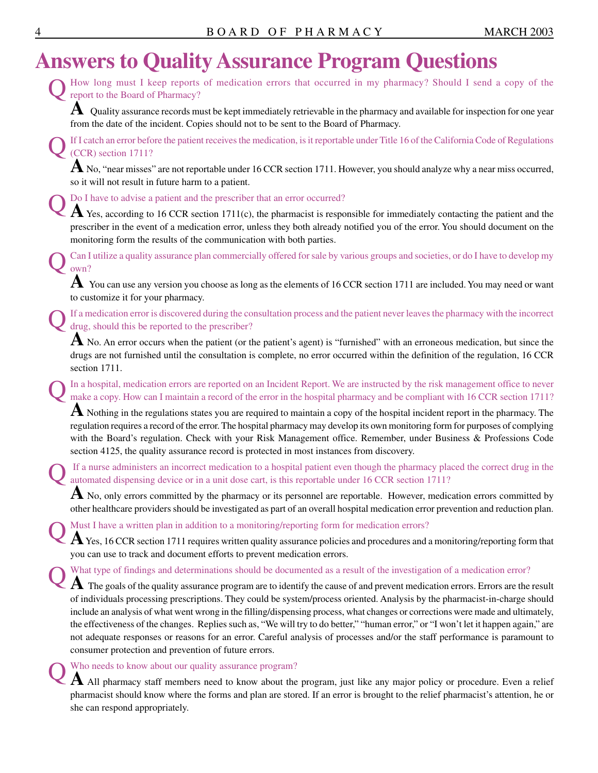# **Answers to Quality Assurance Program Questions**

How long must I keep reports of medication errors that occurred in my pharmacy? Should I send a copy of the report to the Board of Pharmacy?

**A** Quality assurance records must be kept immediately retrievable in the pharmacy and available for inspection for one year from the date of the incident. Copies should not to be sent to the Board of Pharmacy.

If I catch an error before the patient receives the medication, is it reportable under Title 16 of the California Code of Regulations (CCR) section 1711?

**A** No, "near misses" are not reportable under 16 CCR section 1711. However, you should analyze why a near miss occurred, so it will not result in future harm to a patient.

Do I have to advise a patient and the prescriber that an error occurred?

A Yes, according to 16 CCR section 1711(c), the pharmacist is responsible for immediately contacting the patient and the prescriber in the event of a medication error, unless they both already notified you of the error. You should document on the monitoring form the results of the communication with both parties.

Q Can I utilize a quality assurance plan commercially offered for sale by various groups and societies, or do I have to develop my own?

**A** You can use any version you choose as long as the elements of 16 CCR section 1711 are included. You may need or want to customize it for your pharmacy.

If a medication error is discovered during the consultation process and the patient never leaves the pharmacy with the incorrect drug, should this be reported to the prescriber?

A No. An error occurs when the patient (or the patient's agent) is "furnished" with an erroneous medication, but since the drugs are not furnished until the consultation is complete, no error occurred within the definition of the regulation, 16 CCR section 1711.

In a hospital, medication errors are reported on an Incident Report. We are instructed by the risk management office to never make a copy. How can I maintain a record of the error in the hospital pharmacy and be compliant with 16 CCR section 1711?

**A** Nothing in the regulations states you are required to maintain a copy of the hospital incident report in the pharmacy. The regulation requires a record of the error. The hospital pharmacy may develop its own monitoring form for purposes of complying with the Board's regulation. Check with your Risk Management office. Remember, under Business & Professions Code section 4125, the quality assurance record is protected in most instances from discovery.

If a nurse administers an incorrect medication to a hospital patient even though the pharmacy placed the correct drug in the automated dispensing device or in a unit dose cart, is this reportable under 16 CCR section 1711?

A No, only errors committed by the pharmacy or its personnel are reportable. However, medication errors committed by other healthcare providers should be investigated as part of an overall hospital medication error prevention and reduction plan.

Must I have a written plan in addition to a monitoring/reporting form for medication errors?

A Yes, 16 CCR section 1711 requires written quality assurance policies and procedures and a monitoring/reporting form that you can use to track and document efforts to prevent medication errors.

What type of findings and determinations should be documented as a result of the investigation of a medication error?

**A** The goals of the quality assurance program are to identify the cause of and prevent medication errors. Errors are the result of individuals processing prescriptions. They could be system/process oriented. Analysis by the pharmacist-in-charge should include an analysis of what went wrong in the filling/dispensing process, what changes or corrections were made and ultimately, the effectiveness of the changes. Replies such as, "We will try to do better," "human error," or "I won't let it happen again," are not adequate responses or reasons for an error. Careful analysis of processes and/or the staff performance is paramount to consumer protection and prevention of future errors.

#### Who needs to know about our quality assurance program?

A All pharmacy staff members need to know about the program, just like any major policy or procedure. Even a relief pharmacist should know where the forms and plan are stored. If an error is brought to the relief pharmacist's attention, he or she can respond appropriately.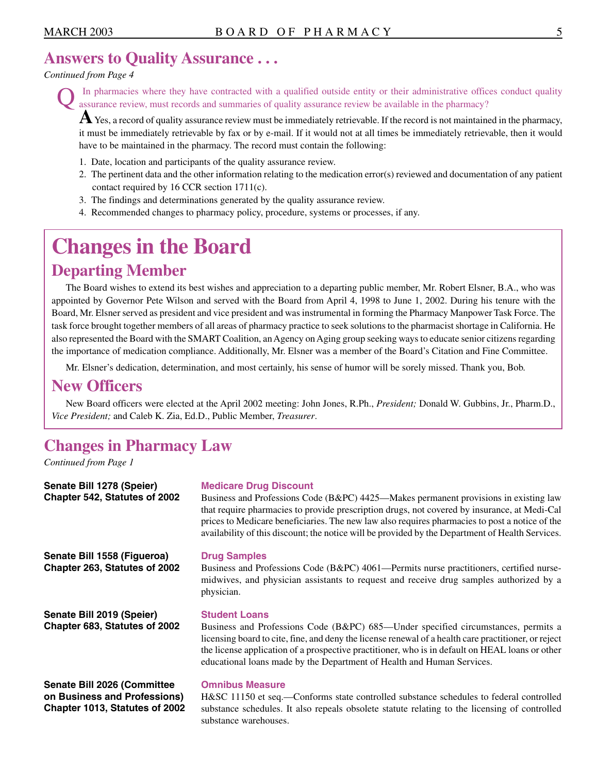## **Answers to Quality Assurance . . .**

#### *Continued from Page 4*

**Q** In pharmacies where they have contracted with a qualified outside entity or their administrative offices conduct quality assurance review, must records and summaries of quality assurance review be available in the phar

**A** Yes, a record of quality assurance review must be immediately retrievable. If the record is not maintained in the pharmacy, it must be immediately retrievable by fax or by e-mail. If it would not at all times be immediately retrievable, then it would have to be maintained in the pharmacy. The record must contain the following:

- 1. Date, location and participants of the quality assurance review.
- 2. The pertinent data and the other information relating to the medication error(s) reviewed and documentation of any patient contact required by 16 CCR section 1711(c).
- 3. The findings and determinations generated by the quality assurance review.
- 4. Recommended changes to pharmacy policy, procedure, systems or processes, if any.

# **Changes in the Board**

## **Departing Member**

The Board wishes to extend its best wishes and appreciation to a departing public member, Mr. Robert Elsner, B.A., who was appointed by Governor Pete Wilson and served with the Board from April 4, 1998 to June 1, 2002. During his tenure with the Board, Mr. Elsner served as president and vice president and was instrumental in forming the Pharmacy Manpower Task Force. The task force brought together members of all areas of pharmacy practice to seek solutions to the pharmacist shortage in California. He also represented the Board with the SMART Coalition, an Agency on Aging group seeking ways to educate senior citizens regarding the importance of medication compliance. Additionally, Mr. Elsner was a member of the Board's Citation and Fine Committee.

Mr. Elsner's dedication, determination, and most certainly, his sense of humor will be sorely missed. Thank you, Bob.

## **New Officers**

New Board officers were elected at the April 2002 meeting: John Jones, R.Ph., *President;* Donald W. Gubbins, Jr., Pharm.D., *Vice President;* and Caleb K. Zia, Ed.D., Public Member, *Treasurer*.

## **Changes in Pharmacy Law**

*Continued from Page 1* 

| Senate Bill 1278 (Speier)                                    | <b>Medicare Drug Discount</b>                                                                                                                                                                                                                                                                                                                                                                  |
|--------------------------------------------------------------|------------------------------------------------------------------------------------------------------------------------------------------------------------------------------------------------------------------------------------------------------------------------------------------------------------------------------------------------------------------------------------------------|
| Chapter 542, Statutes of 2002                                | Business and Professions Code (B&PC) 4425—Makes permanent provisions in existing law<br>that require pharmacies to provide prescription drugs, not covered by insurance, at Medi-Cal<br>prices to Medicare beneficiaries. The new law also requires pharmacies to post a notice of the<br>availability of this discount; the notice will be provided by the Department of Health Services.     |
| Senate Bill 1558 (Figueroa)<br>Chapter 263, Statutes of 2002 | <b>Drug Samples</b><br>Business and Professions Code (B&PC) 4061—Permits nurse practitioners, certified nurse-<br>midwives, and physician assistants to request and receive drug samples authorized by a<br>physician.                                                                                                                                                                         |
| Senate Bill 2019 (Speier)<br>Chapter 683, Statutes of 2002   | <b>Student Loans</b><br>Business and Professions Code (B&PC) 685—Under specified circumstances, permits a<br>licensing board to cite, fine, and deny the license renewal of a health care practitioner, or reject<br>the license application of a prospective practitioner, who is in default on HEAL loans or other<br>educational loans made by the Department of Health and Human Services. |
|                                                              |                                                                                                                                                                                                                                                                                                                                                                                                |

**Senate Bill 2026 (Committee on Business and Professions) Chapter 1013, Statutes of 2002** 

#### **Omnibus Measure**

H&SC 11150 et seq.—Conforms state controlled substance schedules to federal controlled substance schedules. It also repeals obsolete statute relating to the licensing of controlled substance warehouses.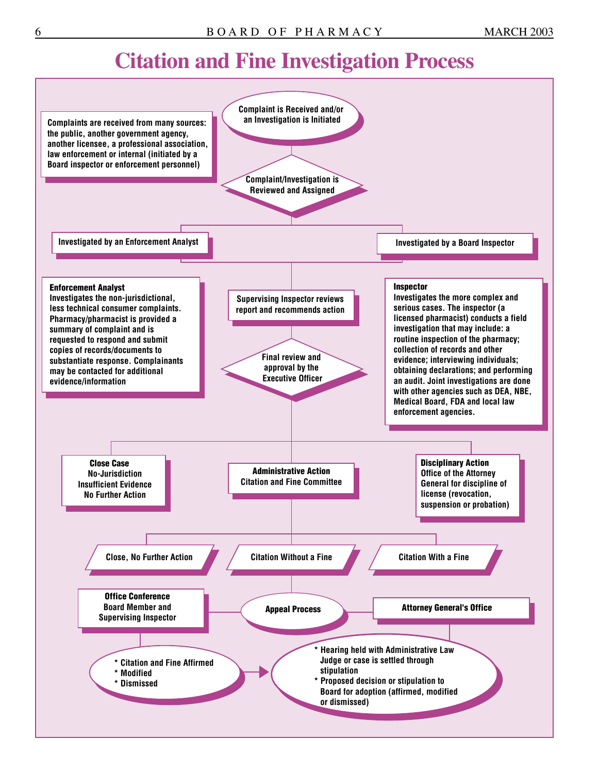# **Citation and Fine Investigation Process**

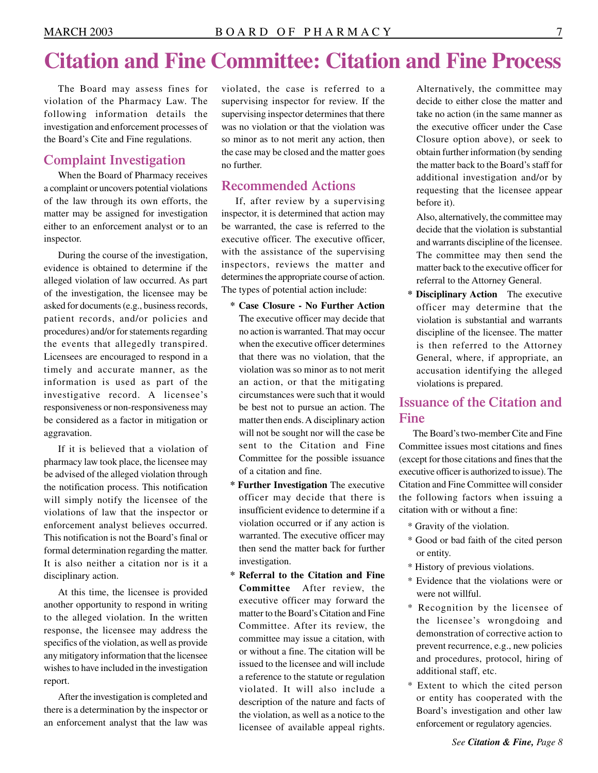# **Citation and Fine Committee: Citation and Fine Process**

The Board may assess fines for violation of the Pharmacy Law. The following information details the investigation and enforcement processes of the Board's Cite and Fine regulations.

#### **Complaint Investigation**

When the Board of Pharmacy receives a complaint or uncovers potential violations of the law through its own efforts, the matter may be assigned for investigation either to an enforcement analyst or to an inspector.

During the course of the investigation, evidence is obtained to determine if the alleged violation of law occurred. As part of the investigation, the licensee may be asked for documents (e.g., business records, patient records, and/or policies and procedures) and/or for statements regarding the events that allegedly transpired. Licensees are encouraged to respond in a timely and accurate manner, as the information is used as part of the investigative record. A licensee's responsiveness or non-responsiveness may be considered as a factor in mitigation or aggravation.

If it is believed that a violation of pharmacy law took place, the licensee may be advised of the alleged violation through the notification process. This notification will simply notify the licensee of the violations of law that the inspector or enforcement analyst believes occurred. This notification is not the Board's final or formal determination regarding the matter. It is also neither a citation nor is it a disciplinary action.

At this time, the licensee is provided another opportunity to respond in writing to the alleged violation. In the written response, the licensee may address the specifics of the violation, as well as provide any mitigatory information that the licensee wishes to have included in the investigation report.

After the investigation is completed and there is a determination by the inspector or an enforcement analyst that the law was violated, the case is referred to a supervising inspector for review. If the supervising inspector determines that there was no violation or that the violation was so minor as to not merit any action, then the case may be closed and the matter goes no further.

### **Recommended Actions**

If, after review by a supervising inspector, it is determined that action may be warranted, the case is referred to the executive officer. The executive officer, with the assistance of the supervising inspectors, reviews the matter and determines the appropriate course of action. The types of potential action include:

- **\* Case Closure No Further Action**  The executive officer may decide that no action is warranted. That may occur when the executive officer determines that there was no violation, that the violation was so minor as to not merit an action, or that the mitigating circumstances were such that it would be best not to pursue an action. The matter then ends. A disciplinary action will not be sought nor will the case be sent to the Citation and Fine Committee for the possible issuance of a citation and fine.
- **\* Further Investigation** The executive officer may decide that there is insufficient evidence to determine if a violation occurred or if any action is warranted. The executive officer may then send the matter back for further investigation.
- **\* Referral to the Citation and Fine Committee** After review, the executive officer may forward the matter to the Board's Citation and Fine Committee. After its review, the committee may issue a citation, with or without a fine. The citation will be issued to the licensee and will include a reference to the statute or regulation violated. It will also include a description of the nature and facts of the violation, as well as a notice to the licensee of available appeal rights.

Alternatively, the committee may decide to either close the matter and take no action (in the same manner as the executive officer under the Case Closure option above), or seek to obtain further information (by sending the matter back to the Board's staff for additional investigation and/or by requesting that the licensee appear before it).

Also, alternatively, the committee may decide that the violation is substantial and warrants discipline of the licensee. The committee may then send the matter back to the executive officer for referral to the Attorney General.

**\* Disciplinary Action** The executive officer may determine that the violation is substantial and warrants discipline of the licensee. The matter is then referred to the Attorney General, where, if appropriate, an accusation identifying the alleged violations is prepared.

### **Issuance of the Citation and Fine**

The Board's two-member Cite and Fine Committee issues most citations and fines (except for those citations and fines that the executive officer is authorized to issue). The Citation and Fine Committee will consider the following factors when issuing a citation with or without a fine:

- \* Gravity of the violation.
- \* Good or bad faith of the cited person or entity.
- \* History of previous violations.
- \* Evidence that the violations were or were not willful.
- \* Recognition by the licensee of the licensee's wrongdoing and demonstration of corrective action to prevent recurrence, e.g., new policies and procedures, protocol, hiring of additional staff, etc.
- \* Extent to which the cited person or entity has cooperated with the Board's investigation and other law enforcement or regulatory agencies.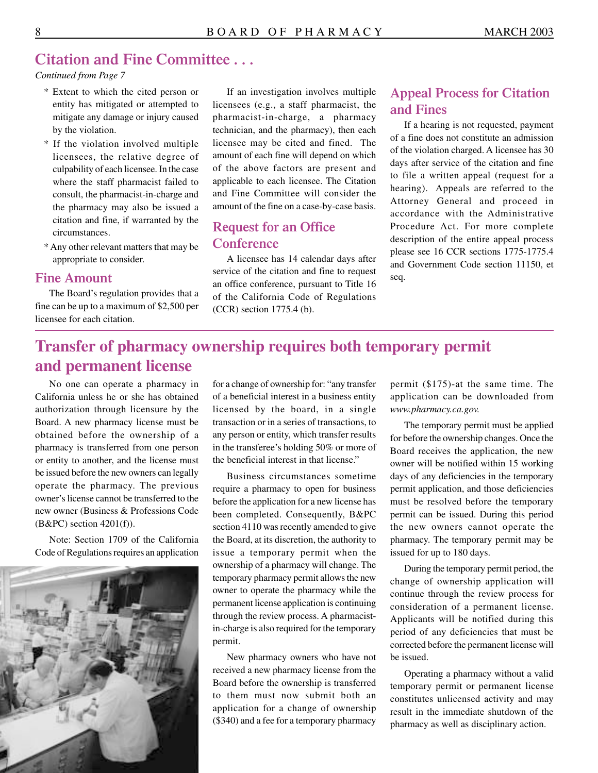## **Citation and Fine Committee . . .**

*Continued from Page 7* 

- \* Extent to which the cited person or entity has mitigated or attempted to mitigate any damage or injury caused by the violation.
- \* If the violation involved multiple licensees, the relative degree of culpability of each licensee. In the case where the staff pharmacist failed to consult, the pharmacist-in-charge and the pharmacy may also be issued a citation and fine, if warranted by the circumstances.
- \* Any other relevant matters that may be appropriate to consider.

#### **Fine Amount**

The Board's regulation provides that a fine can be up to a maximum of \$2,500 per licensee for each citation.

If an investigation involves multiple licensees (e.g., a staff pharmacist, the pharmacist-in-charge, a pharmacy technician, and the pharmacy), then each licensee may be cited and fined. The amount of each fine will depend on which of the above factors are present and applicable to each licensee. The Citation and Fine Committee will consider the amount of the fine on a case-by-case basis.

### **Request for an Office Conference**

A licensee has 14 calendar days after service of the citation and fine to request an office conference, pursuant to Title 16 of the California Code of Regulations (CCR) section 1775.4 (b).

### **Appeal Process for Citation and Fines**

If a hearing is not requested, payment of a fine does not constitute an admission of the violation charged. A licensee has 30 days after service of the citation and fine to file a written appeal (request for a hearing). Appeals are referred to the Attorney General and proceed in accordance with the Administrative Procedure Act. For more complete description of the entire appeal process please see 16 CCR sections 1775-1775.4 and Government Code section 11150, et seq.

## **Transfer of pharmacy ownership requires both temporary permit and permanent license**

No one can operate a pharmacy in California unless he or she has obtained authorization through licensure by the Board. A new pharmacy license must be obtained before the ownership of a pharmacy is transferred from one person or entity to another, and the license must be issued before the new owners can legally operate the pharmacy. The previous owner's license cannot be transferred to the new owner (Business & Professions Code  $(B&PC)$  section  $4201(f)$ ).

Note: Section 1709 of the California Code of Regulations requires an application



for a change of ownership for: "any transfer of a beneficial interest in a business entity licensed by the board, in a single transaction or in a series of transactions, to any person or entity, which transfer results in the transferee's holding 50% or more of the beneficial interest in that license."

Business circumstances sometime require a pharmacy to open for business before the application for a new license has been completed. Consequently, B&PC section 4110 was recently amended to give the Board, at its discretion, the authority to issue a temporary permit when the ownership of a pharmacy will change. The temporary pharmacy permit allows the new owner to operate the pharmacy while the permanent license application is continuing through the review process. A pharmacistin-charge is also required for the temporary permit.

New pharmacy owners who have not received a new pharmacy license from the Board before the ownership is transferred to them must now submit both an application for a change of ownership (\$340) and a fee for a temporary pharmacy

permit (\$175)-at the same time. The application can be downloaded from *[www.pharmacy.ca.gov.](www.pharmacy.ca.gov)* 

The temporary permit must be applied for before the ownership changes. Once the Board receives the application, the new owner will be notified within 15 working days of any deficiencies in the temporary permit application, and those deficiencies must be resolved before the temporary permit can be issued. During this period the new owners cannot operate the pharmacy. The temporary permit may be issued for up to 180 days.

During the temporary permit period, the change of ownership application will continue through the review process for consideration of a permanent license. Applicants will be notified during this period of any deficiencies that must be corrected before the permanent license will be issued.

Operating a pharmacy without a valid temporary permit or permanent license constitutes unlicensed activity and may result in the immediate shutdown of the pharmacy as well as disciplinary action.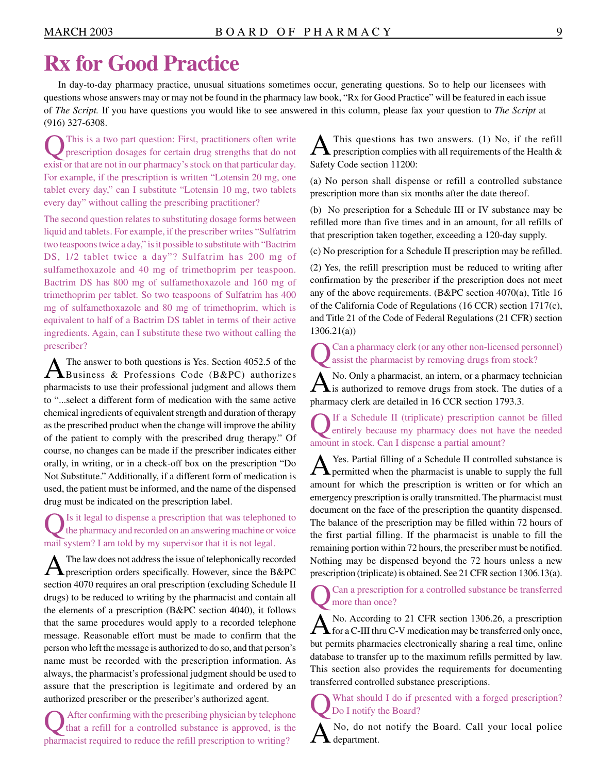# **Rx for Good Practice**

In day-to-day pharmacy practice, unusual situations sometimes occur, generating questions. So to help our licensees with questions whose answers may or may not be found in the pharmacy law book, "Rx for Good Practice" will be featured in each issue of *The Script.* If you have questions you would like to see answered in this column, please fax your question to *The Script* at (916) 327-6308.

This is a two part question: First, practitioners often write prescription dosages for certain drug strengths that do not exist or that are not in our pharmacy's stock on that particular day. For example, if the prescription is written "Lotensin 20 mg, one tablet every day," can I substitute "Lotensin 10 mg, two tablets every day" without calling the prescribing practitioner?

The second question relates to substituting dosage forms between liquid and tablets. For example, if the prescriber writes "Sulfatrim two teaspoons twice a day," is it possible to substitute with "Bactrim DS, 1/2 tablet twice a day"? Sulfatrim has 200 mg of sulfamethoxazole and 40 mg of trimethoprim per teaspoon. Bactrim DS has 800 mg of sulfamethoxazole and 160 mg of trimethoprim per tablet. So two teaspoons of Sulfatrim has 400 mg of sulfamethoxazole and 80 mg of trimethoprim, which is equivalent to half of a Bactrim DS tablet in terms of their active ingredients. Again, can I substitute these two without calling the prescriber?

A The answer to both questions is Yes. Section 4052.5 of the Business & Professions Code (B&PC) authorizes pharmacists to use their professional judgment and allows them to "...select a different form of medication with the same active chemical ingredients of equivalent strength and duration of therapy as the prescribed product when the change will improve the ability of the patient to comply with the prescribed drug therapy." Of course, no changes can be made if the prescriber indicates either orally, in writing, or in a check-off box on the prescription "Do Not Substitute." Additionally, if a different form of medication is used, the patient must be informed, and the name of the dispensed drug must be indicated on the prescription label.

Is it legal to dispense a prescription that was telephoned to the pharmacy and recorded on an answering machine or voice mail system? I am told by my supervisor that it is not legal.

 $\bigwedge$  The law does not address the issue of telephonically recorded prescription orders specifically. However, since the B&PC section 4070 requires an oral prescription (excluding Schedule II drugs) to be reduced to writing by the pharmacist and contain all the elements of a prescription (B&PC section 4040), it follows that the same procedures would apply to a recorded telephone message. Reasonable effort must be made to confirm that the person who left the message is authorized to do so, and that person's name must be recorded with the prescription information. As always, the pharmacist's professional judgment should be used to assure that the prescription is legitimate and ordered by an authorized prescriber or the prescriber's authorized agent.

QAfter confirming with the prescribing physician by telephone that a refill for a controlled substance is approved, is the pharmacist required to reduce the refill prescription to writing?

This questions has two answers.  $(1)$  No, if the refill  $\blacktriangleright$  prescription complies with all requirements of the Health & Safety Code section 11200:

(a) No person shall dispense or refill a controlled substance prescription more than six months after the date thereof.

(b) No prescription for a Schedule III or IV substance may be refilled more than five times and in an amount, for all refills of that prescription taken together, exceeding a 120-day supply.

(c) No prescription for a Schedule II prescription may be refilled.

(2) Yes, the refill prescription must be reduced to writing after confirmation by the prescriber if the prescription does not meet any of the above requirements. (B&PC section 4070(a), Title 16 of the California Code of Regulations (16 CCR) section 1717(c), and Title 21 of the Code of Federal Regulations (21 CFR) section 1306.21(a))

QCan a pharmacy clerk (or any other non-licensed personnel) assist the pharmacist by removing drugs from stock?

 $\mathbf{A}$ No. Only a pharmacist, an intern, or a pharmacy technician is authorized to remove drugs from stock. The duties of a pharmacy clerk are detailed in 16 CCR section 1793.3.

If a Schedule II (triplicate) prescription cannot be filled entirely because my pharmacy does not have the needed amount in stock. Can I dispense a partial amount?

A Yes. Partial filling of a Schedule II controlled substance is permitted when the pharmacist is unable to supply the full amount for which the prescription is written or for which an emergency prescription is orally transmitted. The pharmacist must document on the face of the prescription the quantity dispensed. The balance of the prescription may be filled within 72 hours of the first partial filling. If the pharmacist is unable to fill the remaining portion within 72 hours, the prescriber must be notified. Nothing may be dispensed beyond the 72 hours unless a new prescription (triplicate) is obtained. See 21 CFR section 1306.13(a).

Can a prescription for a controlled substance be transferred more than once?

A No. According to 21 CFR section 1306.26, a prescription for a C-III thru C-V medication may be transferred only once, but permits pharmacies electronically sharing a real time, online database to transfer up to the maximum refills permitted by law. This section also provides the requirements for documenting transferred controlled substance prescriptions.

What should I do if presented with a forged prescription? Do I notify the Board?

ANo, do not notify the Board. Call your local police  $\blacktriangle$  department.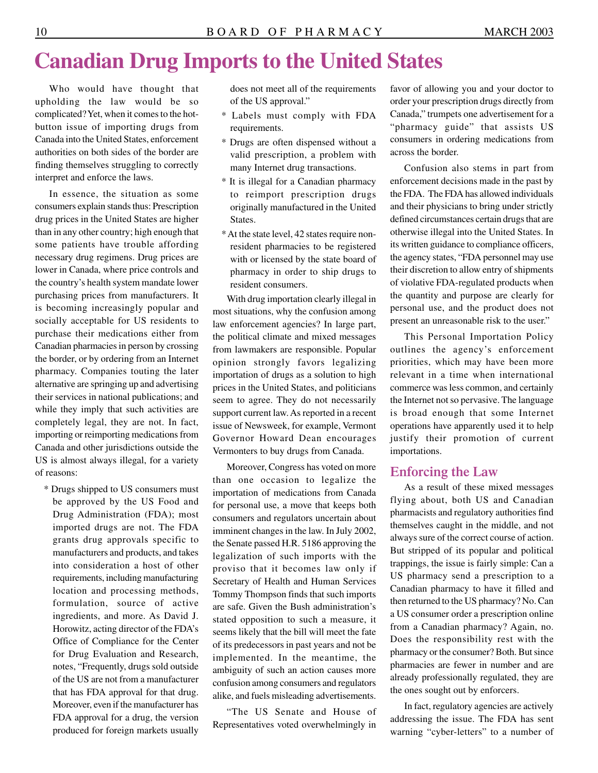# **Canadian Drug Imports to the United States**

Who would have thought that upholding the law would be so complicated? Yet, when it comes to the hotbutton issue of importing drugs from Canada into the United States, enforcement authorities on both sides of the border are finding themselves struggling to correctly interpret and enforce the laws.

In essence, the situation as some consumers explain stands thus: Prescription drug prices in the United States are higher than in any other country; high enough that some patients have trouble affording necessary drug regimens. Drug prices are lower in Canada, where price controls and the country's health system mandate lower purchasing prices from manufacturers. It is becoming increasingly popular and socially acceptable for US residents to purchase their medications either from Canadian pharmacies in person by crossing the border, or by ordering from an Internet pharmacy. Companies touting the later alternative are springing up and advertising their services in national publications; and while they imply that such activities are completely legal, they are not. In fact, importing or reimporting medications from Canada and other jurisdictions outside the US is almost always illegal, for a variety of reasons:

\* Drugs shipped to US consumers must be approved by the US Food and Drug Administration (FDA); most imported drugs are not. The FDA grants drug approvals specific to manufacturers and products, and takes into consideration a host of other requirements, including manufacturing location and processing methods, formulation, source of active ingredients, and more. As David J. Horowitz, acting director of the FDA's Office of Compliance for the Center for Drug Evaluation and Research, notes, "Frequently, drugs sold outside of the US are not from a manufacturer that has FDA approval for that drug. Moreover, even if the manufacturer has FDA approval for a drug, the version produced for foreign markets usually

does not meet all of the requirements of the US approval."

- \* Labels must comply with FDA requirements.
- \* Drugs are often dispensed without a valid prescription, a problem with many Internet drug transactions.
- \* It is illegal for a Canadian pharmacy to reimport prescription drugs originally manufactured in the United States.
- \* At the state level, 42 states require nonresident pharmacies to be registered with or licensed by the state board of pharmacy in order to ship drugs to resident consumers.

With drug importation clearly illegal in most situations, why the confusion among law enforcement agencies? In large part, the political climate and mixed messages from lawmakers are responsible. Popular opinion strongly favors legalizing importation of drugs as a solution to high prices in the United States, and politicians seem to agree. They do not necessarily support current law. As reported in a recent issue of Newsweek, for example, Vermont Governor Howard Dean encourages Vermonters to buy drugs from Canada.

Moreover, Congress has voted on more than one occasion to legalize the importation of medications from Canada for personal use, a move that keeps both consumers and regulators uncertain about imminent changes in the law. In July 2002, the Senate passed H.R. 5186 approving the legalization of such imports with the proviso that it becomes law only if Secretary of Health and Human Services Tommy Thompson finds that such imports are safe. Given the Bush administration's stated opposition to such a measure, it seems likely that the bill will meet the fate of its predecessors in past years and not be implemented. In the meantime, the ambiguity of such an action causes more confusion among consumers and regulators alike, and fuels misleading advertisements.

"The US Senate and House of Representatives voted overwhelmingly in

favor of allowing you and your doctor to order your prescription drugs directly from Canada," trumpets one advertisement for a "pharmacy guide" that assists US consumers in ordering medications from across the border.

Confusion also stems in part from enforcement decisions made in the past by the FDA. The FDA has allowed individuals and their physicians to bring under strictly defined circumstances certain drugs that are otherwise illegal into the United States. In its written guidance to compliance officers, the agency states, "FDA personnel may use their discretion to allow entry of shipments of violative FDA-regulated products when the quantity and purpose are clearly for personal use, and the product does not present an unreasonable risk to the user."

This Personal Importation Policy outlines the agency's enforcement priorities, which may have been more relevant in a time when international commerce was less common, and certainly the Internet not so pervasive. The language is broad enough that some Internet operations have apparently used it to help justify their promotion of current importations.

#### **Enforcing the Law**

As a result of these mixed messages flying about, both US and Canadian pharmacists and regulatory authorities find themselves caught in the middle, and not always sure of the correct course of action. But stripped of its popular and political trappings, the issue is fairly simple: Can a US pharmacy send a prescription to a Canadian pharmacy to have it filled and then returned to the US pharmacy? No. Can a US consumer order a prescription online from a Canadian pharmacy? Again, no. Does the responsibility rest with the pharmacy or the consumer? Both. But since pharmacies are fewer in number and are already professionally regulated, they are the ones sought out by enforcers.

In fact, regulatory agencies are actively addressing the issue. The FDA has sent warning "cyber-letters" to a number of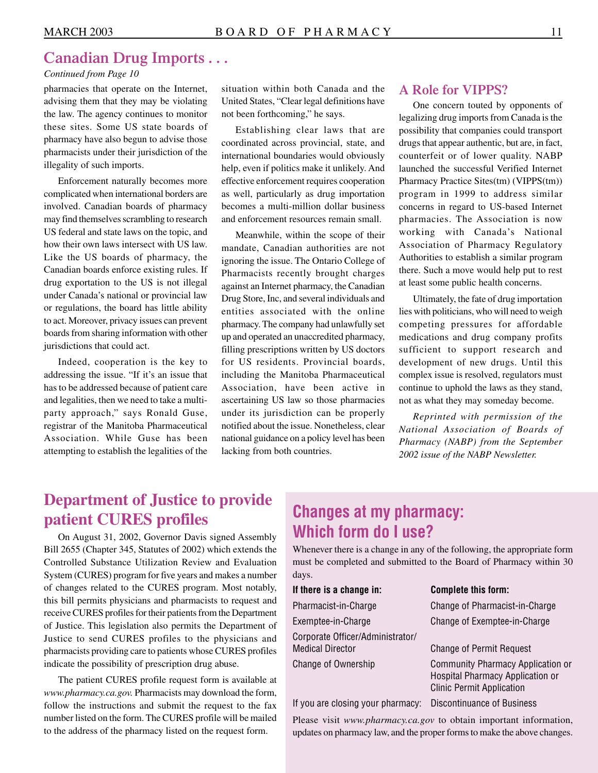## **Canadian Drug Imports . . .**

#### *Continued from Page 10*

pharmacies that operate on the Internet, situation within both Canada and the the law. The agency continues to monitor not been forthcoming," he says. these sites. Some US state boards of Establishing clear laws that are pharmacy have also begun to advise those coordinated across provincial state and

complicated when international borders are as well, particularly as drug importation involved. Canadian boards of pharmacy becomes a multi-million dollar business may find themselves scrambling to research and enforcement resources remain small. US federal and state laws on the topic, and<br>how their own laws intersect with US law.<br>mandate. Canadian authorities are not how their own laws intersect with US law. mandate, Canadian authorities are not<br>Like the US boards of pharmacy, the important the issue The Ontario College of Like the US boards of pharmacy, the ignoring the issue. The Ontario College of Canadian boards enforce existing rules. If Dharmacists recently brought charges drug exportation to the US is not illegal against an Internet pharmacy, the Canadian<br>under Canada's national or provincial law Drug Store. Inc. and several individuals and under Canada's national or provincial law Drug Store, Inc, and several individuals and<br>or regulations, the board has little ability antities, associated with the online or regulations, the board has little ability entities associated with the online<br>to act. Moreover, privacy issues can prevent pharmacy. The company had unlawfully set to act. Moreover, privacy issues can prevent pharmacy. The company had unlawfully set<br>boards from sharing information with other proponented an unaccredited pharmacy boards from sharing information with other up and operated an unaccredited pharmacy, jurisdictions that could act.

party approach," says Ronald Guse, under its jurisdiction can be properly registrar of the Manitoba Pharmaceutical notified about the issue. Nonetheless, clear Association. While Guse has been national guidance on a policy level has been attempting to establish the legalities of the lacking from both countries.

advising them that they may be violating United States, "Clear legal definitions have

pharmacy have also begun to advise those coordinated across provincial, state, and<br>pharmacists under their jurisdiction of the international boundaries would obviously pharmacists under their jurisdiction of the international boundaries would obviously<br>illegality of such imports. help, even if politics make it unlikely. And Enforcement naturally becomes more effective enforcement requires cooperation

Pharmacists recently brought charges. filling prescriptions written by US doctors Indeed, cooperation is the key to for US residents. Provincial boards, addressing the issue. "If it's an issue that including the Manitoba Pharmaceutical has to be addressed because of patient care Association, have been active in and legalities, then we need to take a multi- ascertaining US law so those pharmacies

#### **A Role for VIPPS?**

One concern touted by opponents of legalizing drug imports from Canada is the possibility that companies could transport drugs that appear authentic, but are, in fact, counterfeit or of lower quality. NABP launched the successful Verified Internet Pharmacy Practice Sites(tm) (VIPPS(tm)) program in 1999 to address similar concerns in regard to US-based Internet pharmacies. The Association is now working with Canada's National Association of Pharmacy Regulatory Authorities to establish a similar program there. Such a move would help put to rest at least some public health concerns.

Ultimately, the fate of drug importation lies with politicians, who will need to weigh competing pressures for affordable medications and drug company profits sufficient to support research and development of new drugs. Until this complex issue is resolved, regulators must continue to uphold the laws as they stand, not as what they may someday become.

*Reprinted with permission of the National Association of Boards of Pharmacy (NABP) from the September 2002 issue of the NABP Newsletter.* 

## **Department of Justice to provide patient CURES profiles**

On August 31, 2002, Governor Davis signed Assembly Bill 2655 (Chapter 345, Statutes of 2002) which extends the Controlled Substance Utilization Review and Evaluation System (CURES) program for five years and makes a number of changes related to the CURES program. Most notably, this bill permits physicians and pharmacists to request and receive CURES profiles for their patients from the Department of Justice. This legislation also permits the Department of Justice to send CURES profiles to the physicians and pharmacists providing care to patients whose CURES profiles indicate the possibility of prescription drug abuse.

The patient CURES profile request form is available at *[www.pharmacy.ca.gov.](www.pharmacy.ca.gov)* Pharmacists may download the form, follow the instructions and submit the request to the fax number listed on the form. The CURES profile will be mailed to the address of the pharmacy listed on the request form.

## **Changes at my pharmacy: Which form do I use?**

Whenever there is a change in any of the following, the appropriate form must be completed and submitted to the Board of Pharmacy within 30 days.

| <b>Complete this form:</b>                                                                                       |
|------------------------------------------------------------------------------------------------------------------|
| Change of Pharmacist-in-Charge                                                                                   |
| Change of Exemptee-in-Charge                                                                                     |
| <b>Change of Permit Request</b>                                                                                  |
| <b>Community Pharmacy Application or</b><br>Hospital Pharmacy Application or<br><b>Clinic Permit Application</b> |
|                                                                                                                  |

If you are closing your pharmacy: Discontinuance of Business

Please visit *<www.pharmacy.ca.gov>* to obtain important information, updates on pharmacy law, and the proper forms to make the above changes.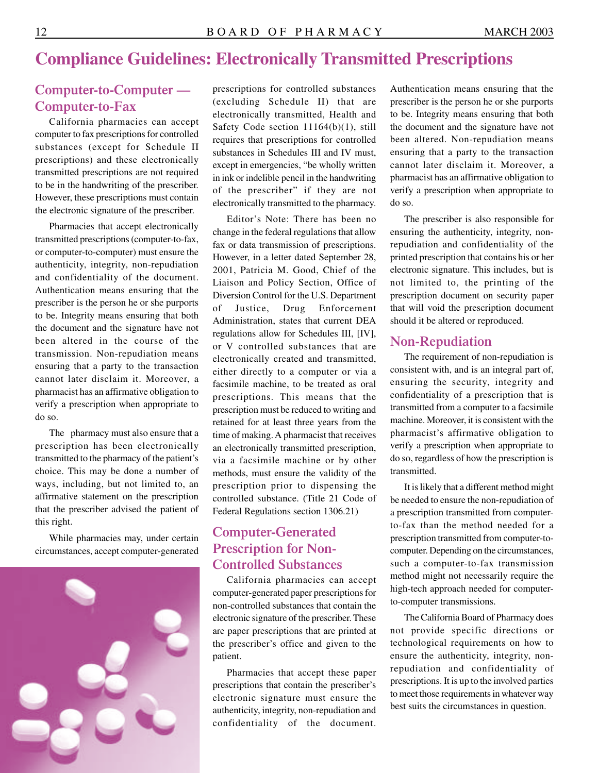## **Compliance Guidelines: Electronically Transmitted Prescriptions**

### **Computer-to-Computer — Computer-to-Fax**

California pharmacies can accept computer to fax prescriptions for controlled substances (except for Schedule II prescriptions) and these electronically transmitted prescriptions are not required to be in the handwriting of the prescriber. However, these prescriptions must contain the electronic signature of the prescriber.

Pharmacies that accept electronically transmitted prescriptions (computer-to-fax, or computer-to-computer) must ensure the authenticity, integrity, non-repudiation and confidentiality of the document. Authentication means ensuring that the prescriber is the person he or she purports to be. Integrity means ensuring that both the document and the signature have not been altered in the course of the transmission. Non-repudiation means ensuring that a party to the transaction cannot later disclaim it. Moreover, a pharmacist has an affirmative obligation to verify a prescription when appropriate to do so.

The pharmacy must also ensure that a prescription has been electronically transmitted to the pharmacy of the patient's choice. This may be done a number of ways, including, but not limited to, an affirmative statement on the prescription that the prescriber advised the patient of this right.

While pharmacies may, under certain circumstances, accept computer-generated



prescriptions for controlled substances (excluding Schedule II) that are electronically transmitted, Health and Safety Code section 11164(b)(1), still requires that prescriptions for controlled substances in Schedules III and IV must, except in emergencies, "be wholly written in ink or indelible pencil in the handwriting of the prescriber" if they are not electronically transmitted to the pharmacy.

Editor's Note: There has been no change in the federal regulations that allow fax or data transmission of prescriptions. However, in a letter dated September 28, 2001, Patricia M. Good, Chief of the Liaison and Policy Section, Office of Diversion Control for the U.S. Department of Justice, Drug Enforcement Administration, states that current DEA regulations allow for Schedules III, [IV], or V controlled substances that are electronically created and transmitted, either directly to a computer or via a facsimile machine, to be treated as oral prescriptions. This means that the prescription must be reduced to writing and retained for at least three years from the time of making. A pharmacist that receives an electronically transmitted prescription, via a facsimile machine or by other methods, must ensure the validity of the prescription prior to dispensing the controlled substance. (Title 21 Code of Federal Regulations section 1306.21)

### **Computer-Generated Prescription for Non-Controlled Substances**

California pharmacies can accept computer-generated paper prescriptions for non-controlled substances that contain the electronic signature of the prescriber. These are paper prescriptions that are printed at the prescriber's office and given to the patient.

Pharmacies that accept these paper prescriptions that contain the prescriber's electronic signature must ensure the authenticity, integrity, non-repudiation and confidentiality of the document.

Authentication means ensuring that the prescriber is the person he or she purports to be. Integrity means ensuring that both the document and the signature have not been altered. Non-repudiation means ensuring that a party to the transaction cannot later disclaim it. Moreover, a pharmacist has an affirmative obligation to verify a prescription when appropriate to do so.

The prescriber is also responsible for ensuring the authenticity, integrity, nonrepudiation and confidentiality of the printed prescription that contains his or her electronic signature. This includes, but is not limited to, the printing of the prescription document on security paper that will void the prescription document should it be altered or reproduced.

#### **Non-Repudiation**

The requirement of non-repudiation is consistent with, and is an integral part of, ensuring the security, integrity and confidentiality of a prescription that is transmitted from a computer to a facsimile machine. Moreover, it is consistent with the pharmacist's affirmative obligation to verify a prescription when appropriate to do so, regardless of how the prescription is transmitted.

It is likely that a different method might be needed to ensure the non-repudiation of a prescription transmitted from computerto-fax than the method needed for a prescription transmitted from computer-tocomputer. Depending on the circumstances, such a computer-to-fax transmission method might not necessarily require the high-tech approach needed for computerto-computer transmissions.

The California Board of Pharmacy does not provide specific directions or technological requirements on how to ensure the authenticity, integrity, nonrepudiation and confidentiality of prescriptions. It is up to the involved parties to meet those requirements in whatever way best suits the circumstances in question.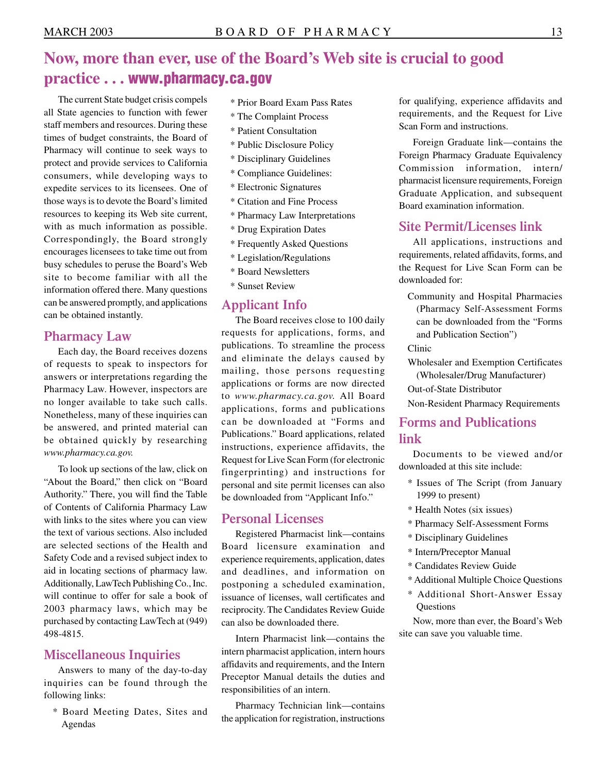## **Now, more than ever, use of the Board's Web site is crucial to good practice . . . <www.pharmacy.ca.gov>**

The current State budget crisis compels all State agencies to function with fewer staff members and resources. During these times of budget constraints, the Board of Pharmacy will continue to seek ways to protect and provide services to California consumers, while developing ways to expedite services to its licensees. One of those ways is to devote the Board's limited resources to keeping its Web site current, with as much information as possible. Correspondingly, the Board strongly encourages licensees to take time out from busy schedules to peruse the Board's Web site to become familiar with all the information offered there. Many questions can be answered promptly, and applications can be obtained instantly.

#### **Pharmacy Law**

Each day, the Board receives dozens of requests to speak to inspectors for answers or interpretations regarding the Pharmacy Law. However, inspectors are no longer available to take such calls. Nonetheless, many of these inquiries can be answered, and printed material can be obtained quickly by researching *[www.pharmacy.ca.gov.](www.pharmacy.ca.gov)* 

To look up sections of the law, click on "About the Board," then click on "Board Authority." There, you will find the Table of Contents of California Pharmacy Law with links to the sites where you can view the text of various sections. Also included are selected sections of the Health and Safety Code and a revised subject index to aid in locating sections of pharmacy law. Additionally, LawTech Publishing Co., Inc. will continue to offer for sale a book of 2003 pharmacy laws, which may be purchased by contacting LawTech at (949) 498-4815.

### **Miscellaneous Inquiries**

Answers to many of the day-to-day inquiries can be found through the following links:

\* Board Meeting Dates, Sites and Agendas

- \* Prior Board Exam Pass Rates
- \* The Complaint Process
- \* Patient Consultation
- \* Public Disclosure Policy
- \* Disciplinary Guidelines
- \* Compliance Guidelines:
- \* Electronic Signatures
- \* Citation and Fine Process
- \* Pharmacy Law Interpretations
- \* Drug Expiration Dates
- \* Frequently Asked Questions
- \* Legislation/Regulations
- \* Board Newsletters
- \* Sunset Review

#### **Applicant Info**

The Board receives close to 100 daily requests for applications, forms, and publications. To streamline the process and eliminate the delays caused by mailing, those persons requesting applications or forms are now directed to *[www.pharmacy.ca.gov.](www.pharmacy.ca.gov)* All Board applications, forms and publications can be downloaded at "Forms and Publications." Board applications, related instructions, experience affidavits, the Request for Live Scan Form (for electronic fingerprinting) and instructions for personal and site permit licenses can also be downloaded from "Applicant Info."

#### **Personal Licenses**

Registered Pharmacist link—contains Board licensure examination and experience requirements, application, dates and deadlines, and information on postponing a scheduled examination, issuance of licenses, wall certificates and reciprocity. The Candidates Review Guide can also be downloaded there.

Intern Pharmacist link—contains the intern pharmacist application, intern hours affidavits and requirements, and the Intern Preceptor Manual details the duties and responsibilities of an intern.

Pharmacy Technician link—contains the application for registration, instructions for qualifying, experience affidavits and requirements, and the Request for Live Scan Form and instructions.

Foreign Graduate link—contains the Foreign Pharmacy Graduate Equivalency Commission information, intern/ pharmacist licensure requirements, Foreign Graduate Application, and subsequent Board examination information.

#### **Site Permit/Licenses link**

All applications, instructions and requirements, related affidavits, forms, and the Request for Live Scan Form can be downloaded for:

Community and Hospital Pharmacies (Pharmacy Self-Assessment Forms can be downloaded from the "Forms and Publication Section")

Clinic

Wholesaler and Exemption Certificates (Wholesaler/Drug Manufacturer)

Out-of-State Distributor

Non-Resident Pharmacy Requirements

### **Forms and Publications link**

Documents to be viewed and/or downloaded at this site include:

- \* Issues of The Script (from January 1999 to present)
- \* Health Notes (six issues)
- \* Pharmacy Self-Assessment Forms
- \* Disciplinary Guidelines
- \* Intern/Preceptor Manual
- \* Candidates Review Guide
- \* Additional Multiple Choice Questions
- \* Additional Short-Answer Essay **Ouestions**

Now, more than ever, the Board's Web site can save you valuable time.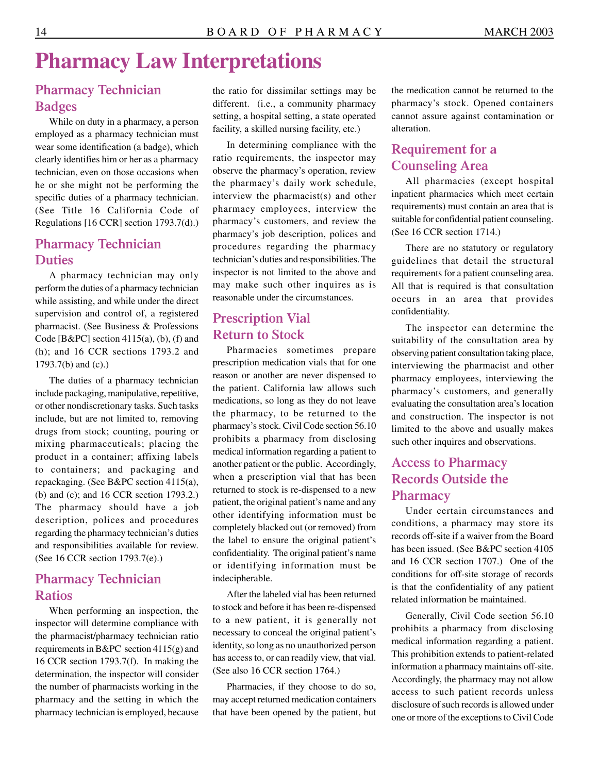# **Pharmacy Law Interpretations**

## **Pharmacy Technician Badges**

While on duty in a pharmacy, a person employed as a pharmacy technician must wear some identification (a badge), which clearly identifies him or her as a pharmacy technician, even on those occasions when he or she might not be performing the specific duties of a pharmacy technician. (See Title 16 California Code of Regulations [16 CCR] section 1793.7(d).)

### **Pharmacy Technician Duties**

A pharmacy technician may only perform the duties of a pharmacy technician while assisting, and while under the direct supervision and control of, a registered pharmacist. (See Business & Professions Code [ $B&PC$ ] section 4115(a), (b), (f) and (h); and 16 CCR sections 1793.2 and 1793.7(b) and (c).)

The duties of a pharmacy technician include packaging, manipulative, repetitive, or other nondiscretionary tasks. Such tasks include, but are not limited to, removing drugs from stock; counting, pouring or mixing pharmaceuticals; placing the product in a container; affixing labels to containers; and packaging and repackaging. (See B&PC section 4115(a), (b) and (c); and 16 CCR section 1793.2.) The pharmacy should have a job description, polices and procedures regarding the pharmacy technician's duties and responsibilities available for review. (See 16 CCR section 1793.7(e).)

### **Pharmacy Technician Ratios**

When performing an inspection, the inspector will determine compliance with the pharmacist/pharmacy technician ratio requirements in B&PC section 4115(g) and 16 CCR section 1793.7(f). In making the determination, the inspector will consider the number of pharmacists working in the pharmacy and the setting in which the pharmacy technician is employed, because the ratio for dissimilar settings may be different. (i.e., a community pharmacy setting, a hospital setting, a state operated facility, a skilled nursing facility, etc.)

In determining compliance with the ratio requirements, the inspector may observe the pharmacy's operation, review the pharmacy's daily work schedule, interview the pharmacist(s) and other pharmacy employees, interview the pharmacy's customers, and review the pharmacy's job description, polices and procedures regarding the pharmacy technician's duties and responsibilities. The inspector is not limited to the above and may make such other inquires as is reasonable under the circumstances.

### **Prescription Vial Return to Stock**

Pharmacies sometimes prepare prescription medication vials that for one reason or another are never dispensed to the patient. California law allows such medications, so long as they do not leave the pharmacy, to be returned to the pharmacy's stock. Civil Code section 56.10 prohibits a pharmacy from disclosing medical information regarding a patient to another patient or the public. Accordingly, when a prescription vial that has been returned to stock is re-dispensed to a new patient, the original patient's name and any other identifying information must be completely blacked out (or removed) from the label to ensure the original patient's confidentiality. The original patient's name or identifying information must be indecipherable.

After the labeled vial has been returned to stock and before it has been re-dispensed to a new patient, it is generally not necessary to conceal the original patient's identity, so long as no unauthorized person has access to, or can readily view, that vial. (See also 16 CCR section 1764.)

Pharmacies, if they choose to do so, may accept returned medication containers that have been opened by the patient, but

the medication cannot be returned to the pharmacy's stock. Opened containers cannot assure against contamination or alteration.

### **Requirement for a Counseling Area**

All pharmacies (except hospital inpatient pharmacies which meet certain requirements) must contain an area that is suitable for confidential patient counseling. (See 16 CCR section 1714.)

There are no statutory or regulatory guidelines that detail the structural requirements for a patient counseling area. All that is required is that consultation occurs in an area that provides confidentiality.

The inspector can determine the suitability of the consultation area by observing patient consultation taking place, interviewing the pharmacist and other pharmacy employees, interviewing the pharmacy's customers, and generally evaluating the consultation area's location and construction. The inspector is not limited to the above and usually makes such other inquires and observations.

### **Access to Pharmacy Records Outside the Pharmacy**

Under certain circumstances and conditions, a pharmacy may store its records off-site if a waiver from the Board has been issued. (See B&PC section 4105 and 16 CCR section 1707.) One of the conditions for off-site storage of records is that the confidentiality of any patient related information be maintained.

Generally, Civil Code section 56.10 prohibits a pharmacy from disclosing medical information regarding a patient. This prohibition extends to patient-related information a pharmacy maintains off-site. Accordingly, the pharmacy may not allow access to such patient records unless disclosure of such records is allowed under one or more of the exceptions to Civil Code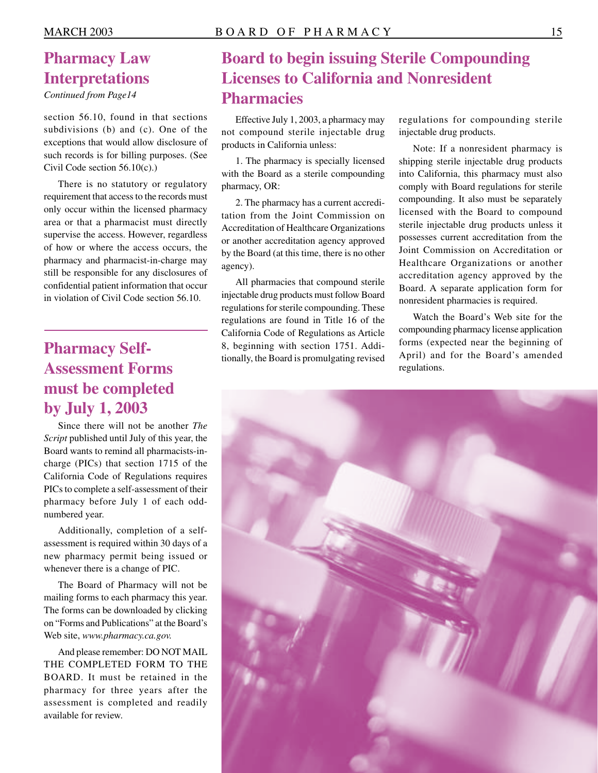*Continued from Page14* 

section 56.10, found in that sections subdivisions (b) and (c). One of the exceptions that would allow disclosure of such records is for billing purposes. (See Civil Code section 56.10(c).)

There is no statutory or regulatory requirement that access to the records must only occur within the licensed pharmacy area or that a pharmacist must directly supervise the access. However, regardless of how or where the access occurs, the pharmacy and pharmacist-in-charge may still be responsible for any disclosures of confidential patient information that occur in violation of Civil Code section 56.10.

## **Pharmacy Self-Assessment Forms must be completed by July 1, 2003**

Since there will not be another *The Script* published until July of this year, the Board wants to remind all pharmacists-incharge (PICs) that section 1715 of the California Code of Regulations requires PICs to complete a self-assessment of their pharmacy before July 1 of each oddnumbered year.

Additionally, completion of a selfassessment is required within 30 days of a new pharmacy permit being issued or whenever there is a change of PIC.

The Board of Pharmacy will not be mailing forms to each pharmacy this year. The forms can be downloaded by clicking on "Forms and Publications" at the Board's Web site, *[www.pharmacy.ca.gov.](www.pharmacy.ca.gov)* 

And please remember: DO NOT MAIL THE COMPLETED FORM TO THE BOARD. It must be retained in the pharmacy for three years after the assessment is completed and readily available for review.

## **Pharmacy Law Board to begin issuing Sterile Compounding Interpretations Licenses to California and Nonresident Pharmacies**

Effective July 1, 2003, a pharmacy may not compound sterile injectable drug products in California unless:

1. The pharmacy is specially licensed with the Board as a sterile compounding pharmacy, OR:

2. The pharmacy has a current accreditation from the Joint Commission on Accreditation of Healthcare Organizations or another accreditation agency approved by the Board (at this time, there is no other agency).

All pharmacies that compound sterile injectable drug products must follow Board regulations for sterile compounding. These regulations are found in Title 16 of the California Code of Regulations as Article 8, beginning with section 1751. Additionally, the Board is promulgating revised regulations for compounding sterile injectable drug products.

Note: If a nonresident pharmacy is shipping sterile injectable drug products into California, this pharmacy must also comply with Board regulations for sterile compounding. It also must be separately licensed with the Board to compound sterile injectable drug products unless it possesses current accreditation from the Joint Commission on Accreditation or Healthcare Organizations or another accreditation agency approved by the Board. A separate application form for nonresident pharmacies is required.

Watch the Board's Web site for the compounding pharmacy license application forms (expected near the beginning of April) and for the Board's amended regulations.